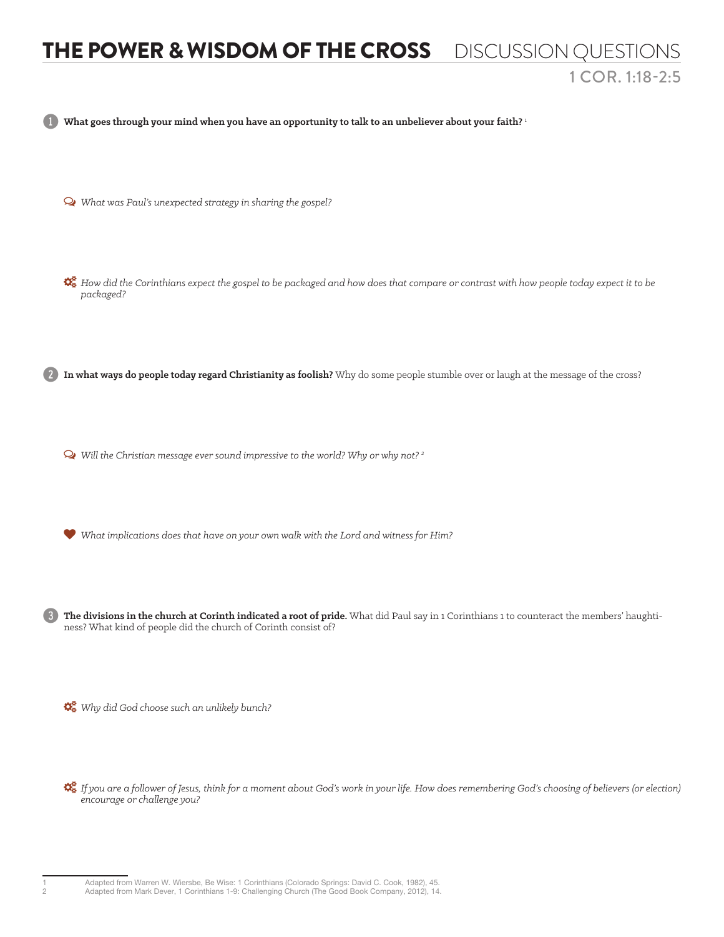## THE POWER & WISDOM OF THE CROSS DISCUSSION QUESTIONS 1 COR. 1:18-2:5

1 **What goes through your mind when you have an opportunity to talk to an unbeliever about your faith?** <sup>1</sup>

- Ø *What was Paul's unexpected strategy in sharing the gospel?*
- *How did the Corinthians expect the gospel to be packaged and how does that compare or contrast with how people today expect it to be packaged?*

2 **In what ways do people today regard Christianity as foolish?** Why do some people stumble over or laugh at the message of the cross?

Ø *Will the Christian message ever sound impressive to the world? Why or why not? 2*

*What implications does that have on your own walk with the Lord and witness for Him?*

3 **The divisions in the church at Corinth indicated a root of pride.** What did Paul say in 1 Corinthians 1 to counteract the members' haughtiness? What kind of people did the church of Corinth consist of?

*Why did God choose such an unlikely bunch?* 

 *If you are a follower of Jesus, think for a moment about God's work in your life. How does remembering God's choosing of believers (or election) encourage or challenge you?*